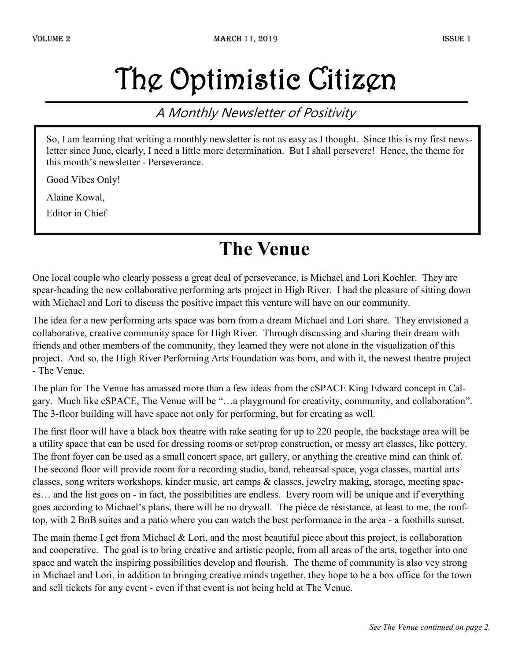## The Optimistic Citizen

#### A Monthly Newsletter of Positivity

So, I am learning that writing a monthly newsletter is not as easy as I thought. Since this is my first newsletter since June, clearly, I need a little more determination. But I shall persevere! Hence, the theme for this month's newsletter - Perseverance.

Good Vibes Only!

Alaine Kowal,

Editor in Chief

#### **The Venue**

One local couple who clearly possess a great deal of perseverance, is Michael and Lori Koehler. They are spear-heading the new collaborative performing arts project in High River. I had the pleasure of sitting down with Michael and Lori to discuss the positive impact this venture will have on our community.

The idea for a new performing arts space was born from a dream Michael and Lori share. They envisioned a collaborative, creative community space for High River. Through discussing and sharing their dream with friends and other members of the community, they learned they were not alone in the visualization of this project. And so, the High River Performing Arts Foundation was born, and with it, the newest theatre project - The Venue.

The plan for The Venue has amassed more than a few ideas from the cSPACE King Edward concept in Calgary. Much like cSPACE, The Venue will be "…a playground for creativity, community, and collaboration". The 3-floor building will have space not only for performing, but for creating as well.

The first floor will have a black box theatre with rake seating for up to 220 people, the backstage area will be a utility space that can be used for dressing rooms or set/prop construction, or messy art classes, like pottery. The front foyer can be used as a small concert space, art gallery, or anything the creative mind can think of. The second floor will provide room for a recording studio, band, rehearsal space, yoga classes, martial arts classes, song writers workshops, kinder music, art camps & classes, jewelry making, storage, meeting spaces… and the list goes on - in fact, the possibilities are endless. Every room will be unique and if everything goes according to Michael's plans, there will be no drywall. The pièce de résistance, at least to me, the rooftop, with 2 BnB suites and a patio where you can watch the best performance in the area - a foothills sunset.

The main theme I get from Michael & Lori, and the most beautiful piece about this project, is collaboration and cooperative. The goal is to bring creative and artistic people, from all areas of the arts, together into one space and watch the inspiring possibilities develop and flourish. The theme of community is also vey strong in Michael and Lori, in addition to bringing creative minds together, they hope to be a box office for the town and sell tickets for any event - even if that event is not being held at The Venue.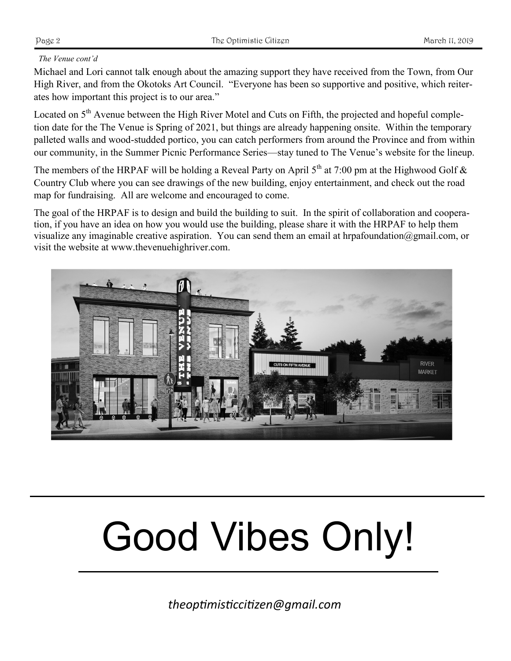#### *The Venue cont'd*

Michael and Lori cannot talk enough about the amazing support they have received from the Town, from Our High River, and from the Okotoks Art Council. "Everyone has been so supportive and positive, which reiterates how important this project is to our area."

Located on 5<sup>th</sup> Avenue between the High River Motel and Cuts on Fifth, the projected and hopeful completion date for the The Venue is Spring of 2021, but things are already happening onsite. Within the temporary palleted walls and wood-studded portico, you can catch performers from around the Province and from within our community, in the Summer Picnic Performance Series—stay tuned to The Venue's website for the lineup.

The members of the HRPAF will be holding a Reveal Party on April  $5<sup>th</sup>$  at 7:00 pm at the Highwood Golf & Country Club where you can see drawings of the new building, enjoy entertainment, and check out the road map for fundraising. All are welcome and encouraged to come.

The goal of the HRPAF is to design and build the building to suit. In the spirit of collaboration and cooperation, if you have an idea on how you would use the building, please share it with the HRPAF to help them visualize any imaginable creative aspiration. You can send them an email at hrpafoundation@gmail.com, or visit the website at www.thevenuehighriver.com.



# Good Vibes Only!

*theoptimisticcitizen@gmail.com*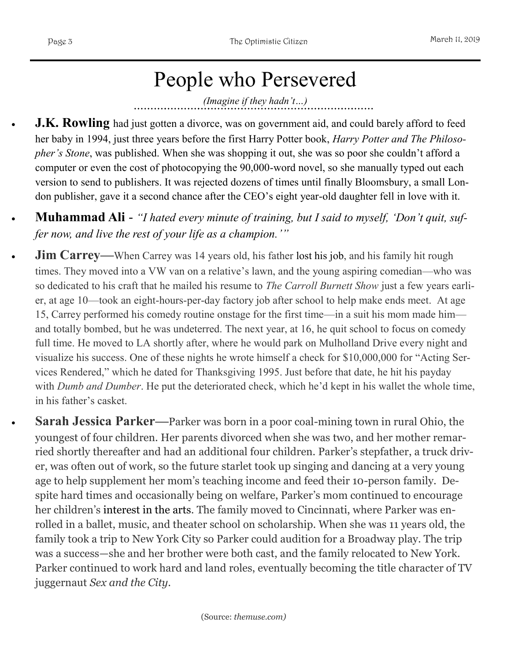### People who Persevered

*(Imagine if they hadn't…)*

- **J.K. Rowling** had just gotten a divorce, was on government aid, and could barely afford to feed her baby in 1994, just three years before the first Harry Potter book, *Harry Potter and The Philosopher's Stone*, was published. When she was shopping it out, she was so poor she couldn't afford a computer or even the cost of photocopying the 90,000-word novel, so she manually typed out each version to send to publishers. It was [rejected dozens of times](https://www.themuse.com/advice/when-getting-rejected-pays-off-big-time) until finally Bloomsbury, a small London publisher, gave it a second chance after the CEO's eight year-old daughter fell in love with it.
- **Muhammad Ali**  *"I hated every minute of training, but I said to myself, 'Don't quit, suffer now, and live the rest of your life as a champion.'"*
- **Jim Carrey**—When Carrey was 14 years old, his father [lost his job,](https://www.themuse.com/advice/moving-on-how-i-found-happiness-after-getting-fired) and his family hit rough times. They moved into a VW van on a relative's lawn, and the young aspiring comedian—who was so dedicated to his craft that he mailed his resume to *The Carroll Burnett Show* just a few years earlier, at age 10—took an eight-hours-per-day factory job after school to help make ends meet. At age 15, Carrey performed his comedy routine onstage for the first time—in a suit his mom made him and totally bombed, but he was undeterred. The next year, at 16, he quit school to focus on comedy full time. He moved to LA shortly after, where he would park on Mulholland Drive every night and visualize his success. One of these nights he wrote himself a check for \$10,000,000 for "Acting Services Rendered," which he dated for Thanksgiving 1995. Just before that date, he hit his payday with *Dumb and Dumber*. He put the deteriorated check, which he'd kept in his wallet the whole time, in his father's casket.
	- **Sarah Jessica Parker—**Parker was born in a poor coal-mining town in rural Ohio, the youngest of four children. Her parents divorced when she was two, and her mother remarried shortly thereafter and had an additional four children. Parker's stepfather, a truck driver, was often out of work, so the future starlet took up singing and dancing at a very young age to help supplement her mom's teaching income and feed their 10-person family. Despite hard times and occasionally being on welfare, Parker's mom continued to encourage her children's [interest in the arts.](https://www.themuse.com/advice/art-smart-an-intro-to-the-arts) The family moved to Cincinnati, where Parker was enrolled in a ballet, music, and theater school on scholarship. When she was 11 years old, the family took a trip to New York City so Parker could audition for a Broadway play. The trip was a success—she and her brother were both cast, and the family relocated to New York. Parker continued to work hard and land roles, eventually becoming the title character of TV juggernaut *Sex and the City*.